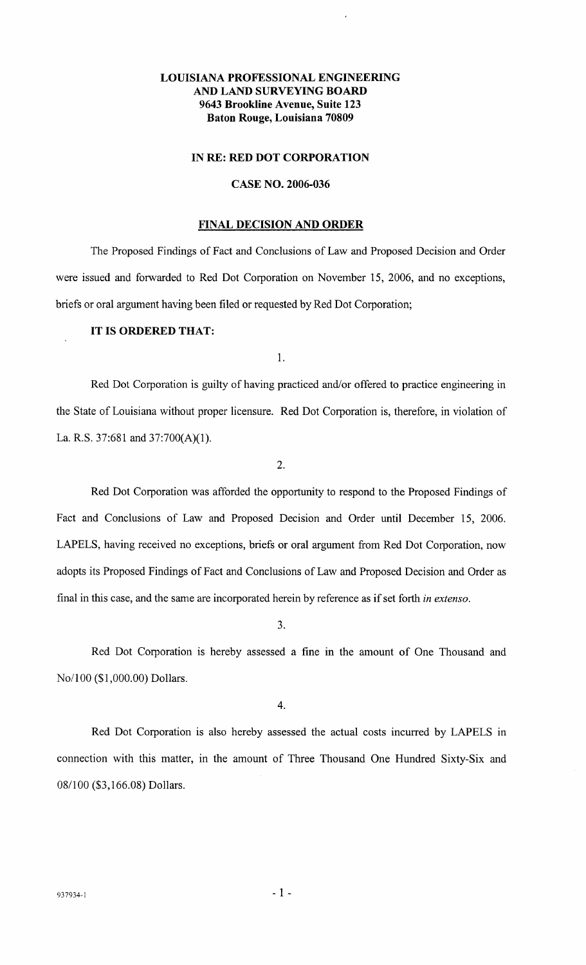# LOUISIANA PROFESSIONAL ENGINEERING AND LAND SURVEYING BOARD 9643 Brookline Avenue, Suite 123 Baton Rouge, Louisiana 70809

#### IN RE: RED DOT CORPORATION

## CASE NO. 2006-036

### FINAL DECISION AND ORDER

The Proposed Findings of Fact and Conclusions of Law and Proposed Decision and Order were issued and forwarded to Red Dot Corporation on November 15, 2006, and no exceptions, briefs or oral argument having been filed or requested by Red Dot Corporation;

## IT IS ORDERED THAT:

1.

Red Dot Corporation is guilty of having practiced and/or offered to practice engineering in the State of Louisiana without proper licensure. Red Dot Corporation is, therefore, in violation of La. R.S. 37:681 and 37:700(A)(1).

2.

Red Dot Corporation was afforded the opportunity to respond to the Proposed Findings of Fact and Conclusions of Law and Proposed Decision and Order until December 15, 2006. LAPELS, having received no exceptions, briefs or oral argument from Red Dot Corporation, now adopts its Proposed Findings of Fact and Conclusions of Law and Proposed Decision and Order as final in this case, and the same are incorporated herein by reference as if set forth *in extenso.* 

3.

Red Dot Corporation is hereby assessed a fine in the amount of One Thousand and No/100 (\$1,000.00) Dollars.

4.

Red Dot Corporation is also hereby assessed the actual costs incurred by LAPELS in connection with this matter, in the amount of Three Thousand One Hundred Sixty-Six and 08/100 (\$3,166.08) Dollars.